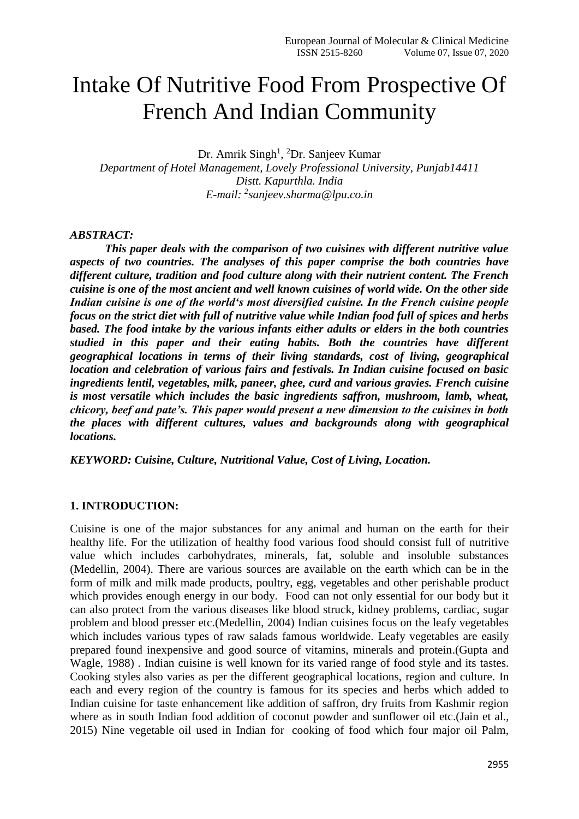# Intake Of Nutritive Food From Prospective Of French And Indian Community

Dr. Amrik Singh<sup>1</sup>, <sup>2</sup>Dr. Sanjeev Kumar *Department of Hotel Management, Lovely Professional University, Punjab14411 Distt. Kapurthla. India E-mail: <sup>2</sup> [sanjeev.sharma@lpu.co.in](mailto:sanjeev.sharma@lpu.co.in)*

#### *ABSTRACT:*

*This paper deals with the comparison of two cuisines with different nutritive value aspects of two countries. The analyses of this paper comprise the both countries have different culture, tradition and food culture along with their nutrient content. The French cuisine is one of the most ancient and well known cuisines of world wide. On the other side Indian cuisine is one of the world's most diversified cuisine. In the French cuisine people focus on the strict diet with full of nutritive value while Indian food full of spices and herbs based. The food intake by the various infants either adults or elders in the both countries studied in this paper and their eating habits. Both the countries have different geographical locations in terms of their living standards, cost of living, geographical location and celebration of various fairs and festivals. In Indian cuisine focused on basic ingredients lentil, vegetables, milk, paneer, ghee, curd and various gravies. French cuisine is most versatile which includes the basic ingredients saffron, mushroom, lamb, wheat, chicory, beef and pate's. This paper would present a new dimension to the cuisines in both the places with different cultures, values and backgrounds along with geographical locations.* 

*KEYWORD: Cuisine, Culture, Nutritional Value, Cost of Living, Location.*

# **1. INTRODUCTION:**

Cuisine is one of the major substances for any animal and human on the earth for their healthy life. For the utilization of healthy food various food should consist full of nutritive value which includes carbohydrates, minerals, fat, soluble and insoluble substances (Medellin, 2004). There are various sources are available on the earth which can be in the form of milk and milk made products, poultry, egg, vegetables and other perishable product which provides enough energy in our body. Food can not only essential for our body but it can also protect from the various diseases like blood struck, kidney problems, cardiac, sugar problem and blood presser etc.(Medellin, 2004) Indian cuisines focus on the leafy vegetables which includes various types of raw salads famous worldwide. Leafy vegetables are easily prepared found inexpensive and good source of vitamins, minerals and protein.(Gupta and Wagle, 1988) . Indian cuisine is well known for its varied range of food style and its tastes. Cooking styles also varies as per the different geographical locations, region and culture. In each and every region of the country is famous for its species and herbs which added to Indian cuisine for taste enhancement like addition of saffron, dry fruits from Kashmir region where as in south Indian food addition of coconut powder and sunflower oil etc.(Jain et al., 2015) Nine vegetable oil used in Indian for cooking of food which four major oil Palm,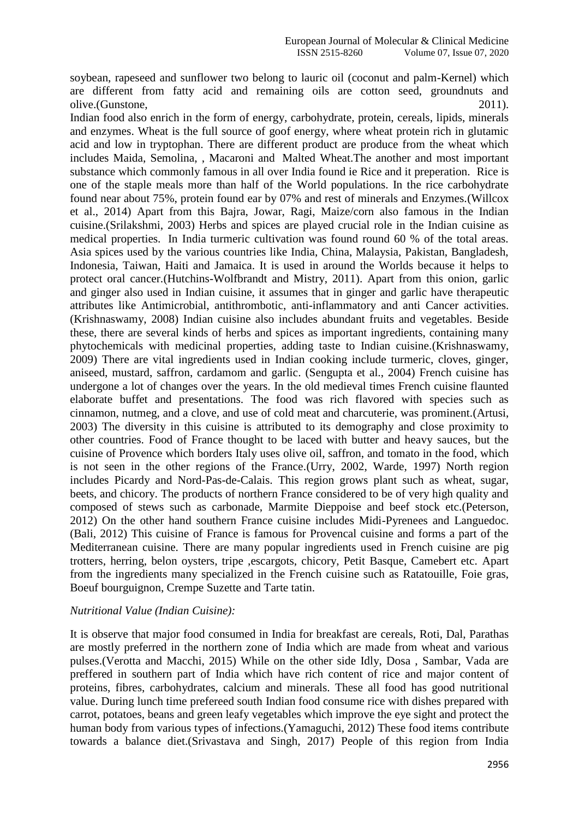soybean, rapeseed and sunflower two belong to lauric oil (coconut and palm-Kernel) which are different from fatty acid and remaining oils are cotton seed, groundnuts and olive.(Gunstone, 2011).

Indian food also enrich in the form of energy, carbohydrate, protein, cereals, lipids, minerals and enzymes. Wheat is the full source of goof energy, where wheat protein rich in glutamic acid and low in tryptophan. There are different product are produce from the wheat which includes Maida, Semolina, , Macaroni and Malted Wheat.The another and most important substance which commonly famous in all over India found ie Rice and it preperation. Rice is one of the staple meals more than half of the World populations. In the rice carbohydrate found near about 75%, protein found ear by 07% and rest of minerals and Enzymes.(Willcox et al., 2014) Apart from this Bajra, Jowar, Ragi, Maize/corn also famous in the Indian cuisine.(Srilakshmi, 2003) Herbs and spices are played crucial role in the Indian cuisine as medical properties. In India turmeric cultivation was found round 60 % of the total areas. Asia spices used by the various countries like India, China, Malaysia, Pakistan, Bangladesh, Indonesia, Taiwan, Haiti and Jamaica. It is used in around the Worlds because it helps to protect oral cancer.(Hutchins-Wolfbrandt and Mistry, 2011). Apart from this onion, garlic and ginger also used in Indian cuisine, it assumes that in ginger and garlic have therapeutic attributes like Antimicrobial, antithrombotic, anti-inflammatory and anti Cancer activities. (Krishnaswamy, 2008) Indian cuisine also includes abundant fruits and vegetables. Beside these, there are several kinds of herbs and spices as important ingredients, containing many phytochemicals with medicinal properties, adding taste to Indian cuisine.(Krishnaswamy, 2009) There are vital ingredients used in Indian cooking include turmeric, cloves, ginger, aniseed, mustard, saffron, cardamom and garlic. (Sengupta et al., 2004) French cuisine has undergone a lot of changes over the years. In the old medieval times French cuisine flaunted elaborate buffet and presentations. The food was rich flavored with species such as cinnamon, nutmeg, and a clove, and use of cold meat and charcuterie, was prominent.(Artusi, 2003) The diversity in this cuisine is attributed to its demography and close proximity to other countries. Food of France thought to be laced with butter and heavy sauces, but the cuisine of Provence which borders Italy uses olive oil, saffron, and tomato in the food, which is not seen in the other regions of the France.(Urry, 2002, Warde, 1997) North region includes Picardy and Nord-Pas-de-Calais. This region grows plant such as wheat, sugar, beets, and chicory. The products of northern France considered to be of very high quality and composed of stews such as carbonade, Marmite Dieppoise and beef stock etc.(Peterson, 2012) On the other hand southern France cuisine includes Midi-Pyrenees and Languedoc. (Bali, 2012) This cuisine of France is famous for Provencal cuisine and forms a part of the Mediterranean cuisine. There are many popular ingredients used in French cuisine are pig trotters, herring, belon oysters, tripe ,escargots, chicory, Petit Basque, Camebert etc. Apart from the ingredients many specialized in the French cuisine such as Ratatouille, Foie gras, Boeuf bourguignon, Crempe Suzette and Tarte tatin.

#### *Nutritional Value (Indian Cuisine):*

It is observe that major food consumed in India for breakfast are cereals, Roti, Dal, Parathas are mostly preferred in the northern zone of India which are made from wheat and various pulses.(Verotta and Macchi, 2015) While on the other side Idly, Dosa , Sambar, Vada are preffered in southern part of India which have rich content of rice and major content of proteins, fibres, carbohydrates, calcium and minerals. These all food has good nutritional value. During lunch time prefereed south Indian food consume rice with dishes prepared with carrot, potatoes, beans and green leafy vegetables which improve the eye sight and protect the human body from various types of infections.(Yamaguchi, 2012) These food items contribute towards a balance diet.(Srivastava and Singh, 2017) People of this region from India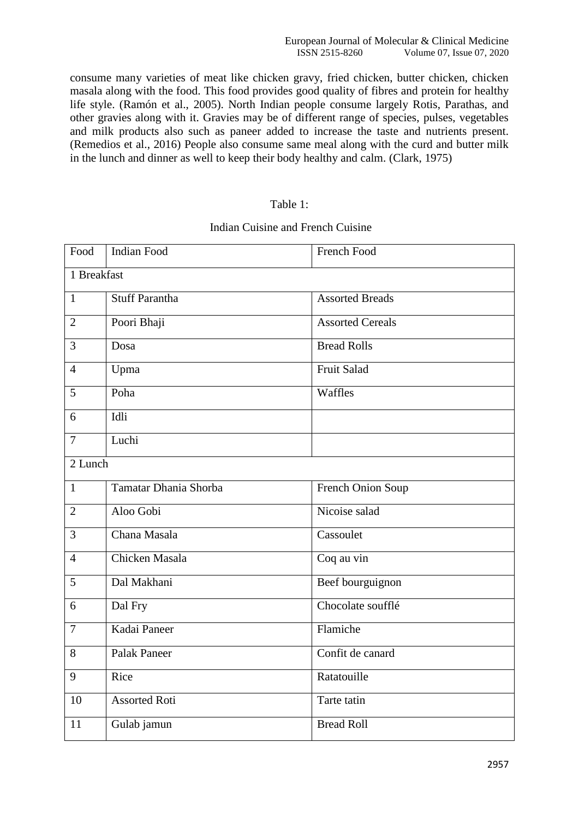consume many varieties of meat like chicken gravy, fried chicken, butter chicken, chicken masala along with the food. This food provides good quality of fibres and protein for healthy life style. (Ramón et al., 2005). North Indian people consume largely Rotis, Parathas, and other gravies along with it. Gravies may be of different range of species, pulses, vegetables and milk products also such as paneer added to increase the taste and nutrients present. (Remedios et al., 2016) People also consume same meal along with the curd and butter milk in the lunch and dinner as well to keep their body healthy and calm. (Clark, 1975)

## Table 1:

#### Indian Cuisine and French Cuisine

| Food           | <b>Indian Food</b>    | French Food             |  |  |  |  |  |
|----------------|-----------------------|-------------------------|--|--|--|--|--|
| 1 Breakfast    |                       |                         |  |  |  |  |  |
| $\mathbf{1}$   | <b>Stuff Parantha</b> | <b>Assorted Breads</b>  |  |  |  |  |  |
| $\overline{2}$ | Poori Bhaji           | <b>Assorted Cereals</b> |  |  |  |  |  |
| $\overline{3}$ | Dosa                  | <b>Bread Rolls</b>      |  |  |  |  |  |
| $\overline{4}$ | Upma                  | <b>Fruit Salad</b>      |  |  |  |  |  |
| 5              | Poha                  | Waffles                 |  |  |  |  |  |
| 6              | Idli                  |                         |  |  |  |  |  |
| $\overline{7}$ | Luchi                 |                         |  |  |  |  |  |
| 2 Lunch        |                       |                         |  |  |  |  |  |
| $\mathbf{1}$   | Tamatar Dhania Shorba | French Onion Soup       |  |  |  |  |  |
| $\overline{2}$ | Aloo Gobi             | Nicoise salad           |  |  |  |  |  |
| 3              | Chana Masala          | Cassoulet               |  |  |  |  |  |
| $\overline{4}$ | Chicken Masala        | Coq au vin              |  |  |  |  |  |
| 5              | Dal Makhani           | Beef bourguignon        |  |  |  |  |  |
| 6              | Dal Fry               | Chocolate soufflé       |  |  |  |  |  |
| 7              | Kadai Paneer          | Flamiche                |  |  |  |  |  |
| 8              | <b>Palak Paneer</b>   | Confit de canard        |  |  |  |  |  |
| 9              | Rice                  | Ratatouille             |  |  |  |  |  |
| 10             | <b>Assorted Roti</b>  | Tarte tatin             |  |  |  |  |  |
| 11             | Gulab jamun           | <b>Bread Roll</b>       |  |  |  |  |  |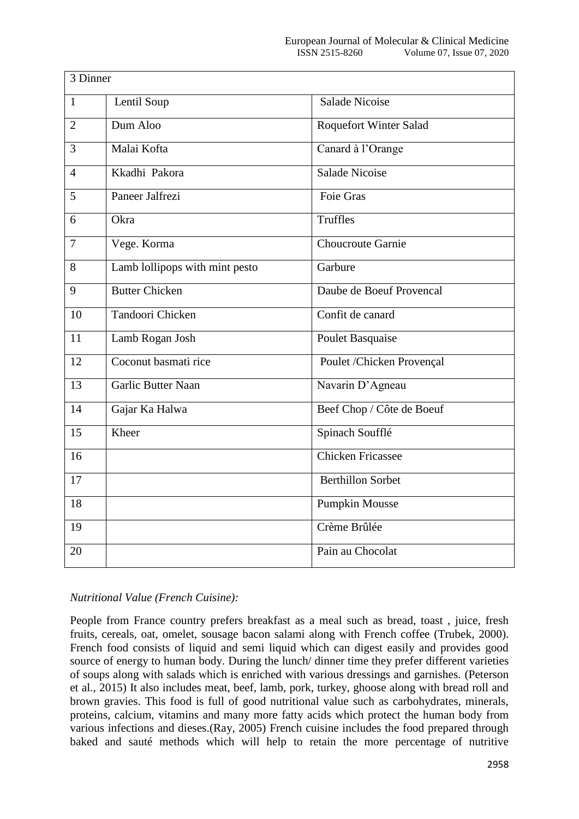| 3 Dinner       |                                |                               |
|----------------|--------------------------------|-------------------------------|
| $\mathbf{1}$   | Lentil Soup                    | <b>Salade Nicoise</b>         |
| $\overline{2}$ | Dum Aloo                       | <b>Roquefort Winter Salad</b> |
| 3              | Malai Kofta                    | Canard à l'Orange             |
| $\overline{4}$ | Kkadhi Pakora                  | <b>Salade Nicoise</b>         |
| 5              | Paneer Jalfrezi                | <b>Foie Gras</b>              |
| 6              | Okra                           | Truffles                      |
| 7              | Vege. Korma                    | Choucroute Garnie             |
| 8              | Lamb lollipops with mint pesto | Garbure                       |
| 9              | <b>Butter Chicken</b>          | Daube de Boeuf Provencal      |
| 10             | Tandoori Chicken               | Confit de canard              |
| 11             | Lamb Rogan Josh                | Poulet Basquaise              |
| 12             | Coconut basmati rice           | Poulet /Chicken Provençal     |
| 13             | Garlic Butter Naan             | Navarin D'Agneau              |
| 14             | Gajar Ka Halwa                 | Beef Chop / Côte de Boeuf     |
| 15             | Kheer                          | Spinach Soufflé               |
| 16             |                                | <b>Chicken Fricassee</b>      |
| 17             |                                | <b>Berthillon Sorbet</b>      |
| 18             |                                | <b>Pumpkin Mousse</b>         |
| 19             |                                | Crème Brûlée                  |
| 20             |                                | Pain au Chocolat              |

# *Nutritional Value (French Cuisine):*

People from France country prefers breakfast as a meal such as bread, toast , juice, fresh fruits, cereals, oat, omelet, sousage bacon salami along with French coffee (Trubek, 2000). French food consists of liquid and semi liquid which can digest easily and provides good source of energy to human body. During the lunch/ dinner time they prefer different varieties of soups along with salads which is enriched with various dressings and garnishes. (Peterson et al., 2015) It also includes meat, beef, lamb, pork, turkey, ghoose along with bread roll and brown gravies. This food is full of good nutritional value such as carbohydrates, minerals, proteins, calcium, vitamins and many more fatty acids which protect the human body from various infections and dieses.(Ray, 2005) French cuisine includes the food prepared through baked and sauté methods which will help to retain the more percentage of nutritive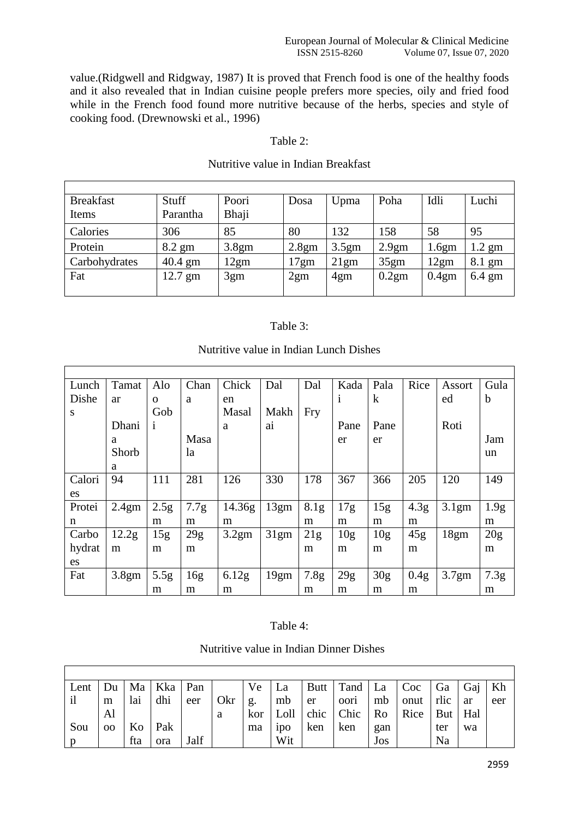value.(Ridgwell and Ridgway, 1987) It is proved that French food is one of the healthy foods and it also revealed that in Indian cuisine people prefers more species, oily and fried food while in the French food found more nutritive because of the herbs, species and style of cooking food. (Drewnowski et al., 1996)

## Table 2:

| <b>Breakfast</b> | Stuff             | Poori | Dosa  | Upma  | Poha              | Idli  | Luchi            |
|------------------|-------------------|-------|-------|-------|-------------------|-------|------------------|
| Items            | Parantha          | Bhaji |       |       |                   |       |                  |
| Calories         | 306               | 85    | 80    | 132   | 158               | 58    | 95               |
| Protein          | $8.2 \text{ gm}$  | 3.8gm | 2.8gm | 3.5gm | 2.9 <sub>gm</sub> | 1.6gm | $1.2$ gm         |
| Carbohydrates    | $40.4 \text{ gm}$ | 12gm  | 17gm  | 21gm  | 35gm              | 12gm  | 8.1 gm           |
| Fat              | $12.7 \text{ gm}$ | 3gm   | 2gm   | 4gm   | 0.2gm             | 0.4gm | $6.4 \text{ gm}$ |
|                  |                   |       |       |       |                   |       |                  |

## Nutritive value in Indian Breakfast

# Table 3:

| Lunch  | Tamat             | Alo              | Chan | Chick  | Dal  | Dal              | Kada            | Pala            | Rice             | Assort            | Gula             |
|--------|-------------------|------------------|------|--------|------|------------------|-----------------|-----------------|------------------|-------------------|------------------|
| Dishe  | ar                | $\mathbf{O}$     | a    | en     |      |                  | $\mathbf{1}$    | $\bf k$         |                  | ed                | $\mathbf b$      |
| S      |                   | Gob              |      | Masal  | Makh | <b>Fry</b>       |                 |                 |                  |                   |                  |
|        | Dhani             | 1                |      | a      | ai   |                  | Pane            | Pane            |                  | Roti              |                  |
|        | a                 |                  | Masa |        |      |                  | er              | er              |                  |                   | Jam              |
|        | Shorb             |                  | la   |        |      |                  |                 |                 |                  |                   | un               |
|        | a                 |                  |      |        |      |                  |                 |                 |                  |                   |                  |
| Calori | 94                | 111              | 281  | 126    | 330  | 178              | 367             | 366             | 205              | 120               | 149              |
| es     |                   |                  |      |        |      |                  |                 |                 |                  |                   |                  |
| Protei | 2.4 <sub>gm</sub> | 2.5 <sub>g</sub> | 7.7g | 14.36g | 13gm | 8.1g             | 17g             | 15g             | 4.3 <sub>g</sub> | 3.1 <sub>gm</sub> | 1.9 <sub>g</sub> |
| n      |                   | m                | m    | m      |      | m                | m               | m               | m                |                   | m                |
| Carbo  | 12.2 <sub>g</sub> | 15g              | 29g  | 3.2gm  | 31gm | 21g              | 10 <sub>g</sub> | 10 <sub>g</sub> | 45g              | 18gm              | 20g              |
| hydrat | m                 | m                | m    |        |      | m                | m               | m               | m                |                   | m                |
| es     |                   |                  |      |        |      |                  |                 |                 |                  |                   |                  |
| Fat    | 3.8gm             | 5.5 <sub>g</sub> | 16g  | 6.12g  | 19gm | 7.8 <sub>g</sub> | 29g             | 30 <sub>g</sub> | 0.4 <sub>g</sub> | 3.7gm             | 7.3g             |
|        |                   | m                | m    | m      |      | m                | m               | m               | m                |                   | m                |

# Nutritive value in Indian Lunch Dishes

## Table 4:

Nutritive value in Indian Dinner Dishes

 $\overline{1}$ 

| Lent         | Du            |     | Ma   Kka   Pan |      |     | Ve              | La               |     | Butt   Tand   La   Coc   Ga   Gaj   Kh           |         |              |     |    |     |
|--------------|---------------|-----|----------------|------|-----|-----------------|------------------|-----|--------------------------------------------------|---------|--------------|-----|----|-----|
| $\mathbf{i}$ | m             | lai | dhi            | eer  | Okr | $\mathsf{I}$ g. | mb               | er  | oori                                             | $\ln b$ | onut rlic ar |     |    | eer |
|              | Al            |     |                |      | a   |                 |                  |     | kor   Loll   chic   Chic   Ro   Rice   But   Hal |         |              |     |    |     |
| Sou          | <sub>00</sub> | Ko  | Pak            |      |     | ma              | 1 <sub>D</sub> O | ken | $\mathsf{ken}$                                   | gan     |              | ter | wa |     |
|              |               | fta | ora            | Jalf |     |                 | Wit              |     |                                                  | Jos     |              | Na  |    |     |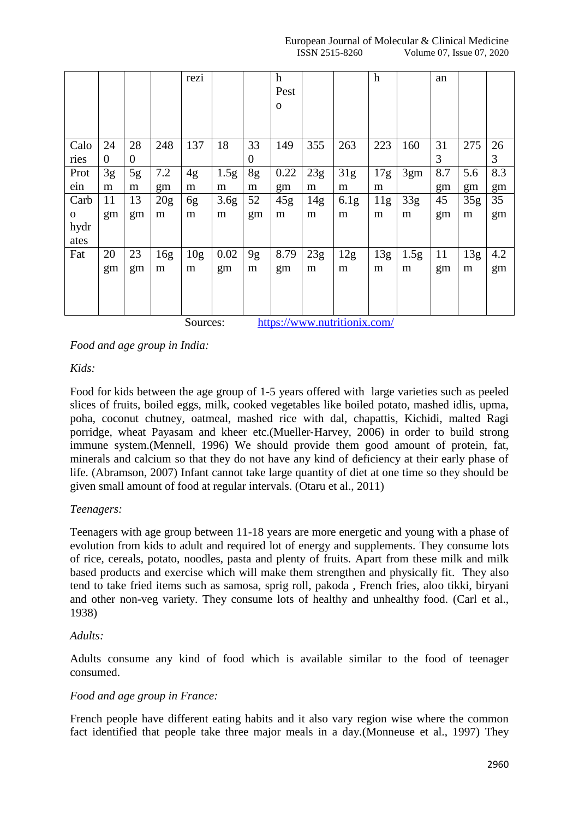|              |                |                |     | rezi            |                  |          | $\boldsymbol{\mathrm{h}}$<br>Pest<br>$\mathbf{O}$ |                 |                  | $\boldsymbol{h}$ |                  | an  |                 |     |
|--------------|----------------|----------------|-----|-----------------|------------------|----------|---------------------------------------------------|-----------------|------------------|------------------|------------------|-----|-----------------|-----|
| Calo         | 24             | 28             | 248 | 137             | 18               | 33       | 149                                               | 355             | 263              | 223              | 160              | 31  | 275             | 26  |
| ries         | $\overline{0}$ | $\overline{0}$ |     |                 |                  | $\Omega$ |                                                   |                 |                  |                  |                  | 3   |                 | 3   |
| Prot         | 3g             | 5g             | 7.2 | 4g              | 1.5 <sub>g</sub> | 8g       | 0.22                                              | 23g             | 31g              | 17g              | 3gm              | 8.7 | 5.6             | 8.3 |
| ein          | m              | m              | gm  | m               | m                | m        | gm                                                | m               | m                | m                |                  | gm  | gm              | gm  |
| Carb         | 11             | 13             | 20g | 6g              | 3.6 <sub>g</sub> | 52       | 45g                                               | 14 <sub>g</sub> | 6.1 <sub>g</sub> | 11g              | 33g              | 45  | 35 <sub>g</sub> | 35  |
| $\mathbf{O}$ | gm             | gm             | m   | m               | m                | gm       | m                                                 | m               | m                | m                | m                | gm  | m               | gm  |
| hydr         |                |                |     |                 |                  |          |                                                   |                 |                  |                  |                  |     |                 |     |
| ates         |                |                |     |                 |                  |          |                                                   |                 |                  |                  |                  |     |                 |     |
| Fat          | 20             | 23             | 16g | 10 <sub>g</sub> | 0.02             | 9g       | 8.79                                              | 23g             | 12g              | 13g              | 1.5 <sub>g</sub> | 11  | 13g             | 4.2 |
|              | gm             | gm             | m   | m               | gm               | m        | gm                                                | m               | m                | m                | m                | gm  | m               | gm  |
|              |                |                |     |                 |                  |          |                                                   |                 |                  |                  |                  |     |                 |     |
|              |                |                |     |                 |                  |          |                                                   |                 |                  |                  |                  |     |                 |     |
|              |                |                |     |                 |                  |          | $\mathbf{r}$                                      |                 | $\sim$           |                  |                  |     |                 |     |

Sources: <https://www.nutritionix.com/>

*Food and age group in India:*

# *Kids:*

Food for kids between the age group of 1-5 years offered with large varieties such as peeled slices of fruits, boiled eggs, milk, cooked vegetables like boiled potato, mashed idlis, upma, poha, coconut chutney, oatmeal, mashed rice with dal, chapattis, Kichidi, malted Ragi porridge, wheat Payasam and kheer etc.(Mueller‐Harvey, 2006) in order to build strong immune system.(Mennell, 1996) We should provide them good amount of protein, fat, minerals and calcium so that they do not have any kind of deficiency at their early phase of life. (Abramson, 2007) Infant cannot take large quantity of diet at one time so they should be given small amount of food at regular intervals. (Otaru et al., 2011)

# *Teenagers:*

Teenagers with age group between 11-18 years are more energetic and young with a phase of evolution from kids to adult and required lot of energy and supplements. They consume lots of rice, cereals, potato, noodles, pasta and plenty of fruits. Apart from these milk and milk based products and exercise which will make them strengthen and physically fit. They also tend to take fried items such as samosa, sprig roll, pakoda , French fries, aloo tikki, biryani and other non-veg variety. They consume lots of healthy and unhealthy food. (Carl et al., 1938)

# *Adults:*

Adults consume any kind of food which is available similar to the food of teenager consumed.

# *Food and age group in France:*

French people have different eating habits and it also vary region wise where the common fact identified that people take three major meals in a day.(Monneuse et al., 1997) They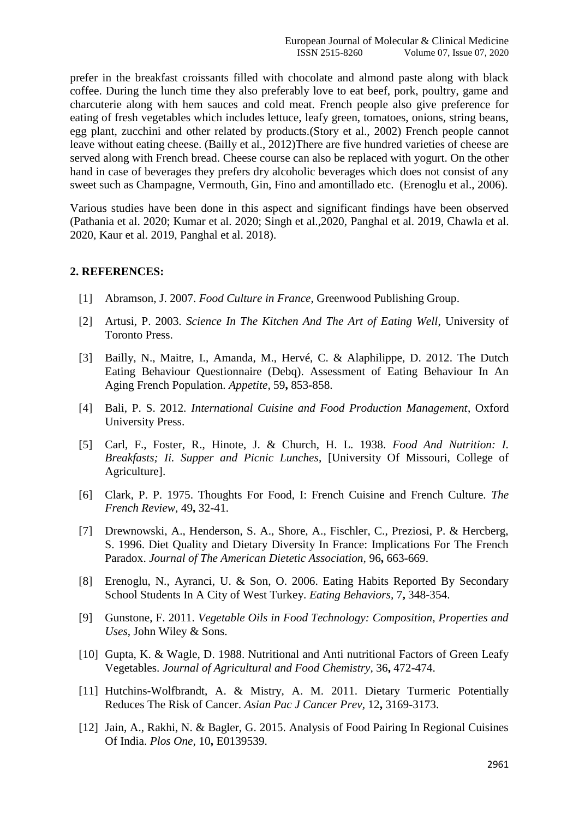prefer in the breakfast croissants filled with chocolate and almond paste along with black coffee. During the lunch time they also preferably love to eat beef, pork, poultry, game and charcuterie along with hem sauces and cold meat. French people also give preference for eating of fresh vegetables which includes lettuce, leafy green, tomatoes, onions, string beans, egg plant, zucchini and other related by products.(Story et al., 2002) French people cannot leave without eating cheese. (Bailly et al., 2012)There are five hundred varieties of cheese are served along with French bread. Cheese course can also be replaced with yogurt. On the other hand in case of beverages they prefers dry alcoholic beverages which does not consist of any sweet such as Champagne, Vermouth, Gin, Fino and amontillado etc. (Erenoglu et al., 2006).

Various studies have been done in this aspect and significant findings have been observed (Pathania et al. 2020; Kumar et al. 2020; Singh et al.,2020, Panghal et al. 2019, Chawla et al. 2020, Kaur et al. 2019, Panghal et al. 2018).

# **2. REFERENCES:**

- [1] Abramson, J. 2007. *Food Culture in France*, Greenwood Publishing Group.
- [2] Artusi, P. 2003. *Science In The Kitchen And The Art of Eating Well*, University of Toronto Press.
- [3] Bailly, N., Maitre, I., Amanda, M., Hervé, C. & Alaphilippe, D. 2012. The Dutch Eating Behaviour Questionnaire (Debq). Assessment of Eating Behaviour In An Aging French Population. *Appetite,* 59**,** 853-858.
- [4] Bali, P. S. 2012. *International Cuisine and Food Production Management*, Oxford University Press.
- [5] Carl, F., Foster, R., Hinote, J. & Church, H. L. 1938. *Food And Nutrition: I. Breakfasts; Ii. Supper and Picnic Lunches*, [University Of Missouri, College of Agriculture].
- [6] Clark, P. P. 1975. Thoughts For Food, I: French Cuisine and French Culture. *The French Review,* 49**,** 32-41.
- [7] Drewnowski, A., Henderson, S. A., Shore, A., Fischler, C., Preziosi, P. & Hercberg, S. 1996. Diet Quality and Dietary Diversity In France: Implications For The French Paradox. *Journal of The American Dietetic Association,* 96**,** 663-669.
- [8] Erenoglu, N., Ayranci, U. & Son, O. 2006. Eating Habits Reported By Secondary School Students In A City of West Turkey. *Eating Behaviors,* 7**,** 348-354.
- [9] Gunstone, F. 2011. *Vegetable Oils in Food Technology: Composition, Properties and Uses*, John Wiley & Sons.
- [10] Gupta, K. & Wagle, D. 1988. Nutritional and Anti nutritional Factors of Green Leafy Vegetables. *Journal of Agricultural and Food Chemistry,* 36**,** 472-474.
- [11] Hutchins-Wolfbrandt, A. & Mistry, A. M. 2011. Dietary Turmeric Potentially Reduces The Risk of Cancer. *Asian Pac J Cancer Prev,* 12**,** 3169-3173.
- [12] Jain, A., Rakhi, N. & Bagler, G. 2015. Analysis of Food Pairing In Regional Cuisines Of India. *Plos One,* 10**,** E0139539.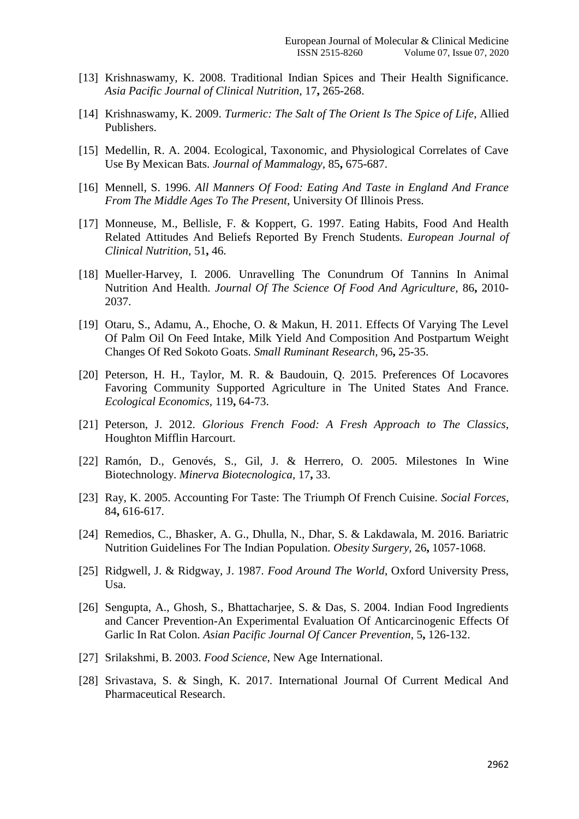- [13] Krishnaswamy, K. 2008. Traditional Indian Spices and Their Health Significance. *Asia Pacific Journal of Clinical Nutrition,* 17**,** 265-268.
- [14] Krishnaswamy, K. 2009. *Turmeric: The Salt of The Orient Is The Spice of Life*, Allied Publishers.
- [15] Medellin, R. A. 2004. Ecological, Taxonomic, and Physiological Correlates of Cave Use By Mexican Bats. *Journal of Mammalogy,* 85**,** 675-687.
- [16] Mennell, S. 1996. *All Manners Of Food: Eating And Taste in England And France From The Middle Ages To The Present*, University Of Illinois Press.
- [17] Monneuse, M., Bellisle, F. & Koppert, G. 1997. Eating Habits, Food And Health Related Attitudes And Beliefs Reported By French Students. *European Journal of Clinical Nutrition,* 51**,** 46.
- [18] Mueller-Harvey, I. 2006. Unravelling The Conundrum Of Tannins In Animal Nutrition And Health. *Journal Of The Science Of Food And Agriculture,* 86**,** 2010- 2037.
- [19] Otaru, S., Adamu, A., Ehoche, O. & Makun, H. 2011. Effects Of Varying The Level Of Palm Oil On Feed Intake, Milk Yield And Composition And Postpartum Weight Changes Of Red Sokoto Goats. *Small Ruminant Research,* 96**,** 25-35.
- [20] Peterson, H. H., Taylor, M. R. & Baudouin, Q. 2015. Preferences Of Locavores Favoring Community Supported Agriculture in The United States And France. *Ecological Economics,* 119**,** 64-73.
- [21] Peterson, J. 2012. *Glorious French Food: A Fresh Approach to The Classics*, Houghton Mifflin Harcourt.
- [22] Ramón, D., Genovés, S., Gil, J. & Herrero, O. 2005. Milestones In Wine Biotechnology. *Minerva Biotecnologica,* 17**,** 33.
- [23] Ray, K. 2005. Accounting For Taste: The Triumph Of French Cuisine. *Social Forces,* 84**,** 616-617.
- [24] Remedios, C., Bhasker, A. G., Dhulla, N., Dhar, S. & Lakdawala, M. 2016. Bariatric Nutrition Guidelines For The Indian Population. *Obesity Surgery,* 26**,** 1057-1068.
- [25] Ridgwell, J. & Ridgway, J. 1987. *Food Around The World*, Oxford University Press, Usa.
- [26] Sengupta, A., Ghosh, S., Bhattacharjee, S. & Das, S. 2004. Indian Food Ingredients and Cancer Prevention-An Experimental Evaluation Of Anticarcinogenic Effects Of Garlic In Rat Colon. *Asian Pacific Journal Of Cancer Prevention,* 5**,** 126-132.
- [27] Srilakshmi, B. 2003. *Food Science*, New Age International.
- [28] Srivastava, S. & Singh, K. 2017. International Journal Of Current Medical And Pharmaceutical Research.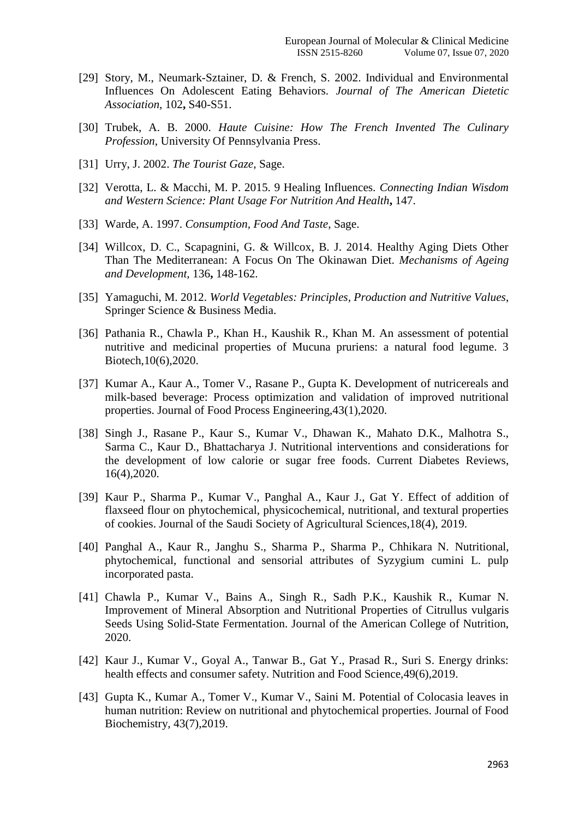- [29] Story, M., Neumark-Sztainer, D. & French, S. 2002. Individual and Environmental Influences On Adolescent Eating Behaviors. *Journal of The American Dietetic Association,* 102**,** S40-S51.
- [30] Trubek, A. B. 2000. *Haute Cuisine: How The French Invented The Culinary Profession*, University Of Pennsylvania Press.
- [31] Urry, J. 2002. *The Tourist Gaze*, Sage.
- [32] Verotta, L. & Macchi, M. P. 2015. 9 Healing Influences. *Connecting Indian Wisdom and Western Science: Plant Usage For Nutrition And Health***,** 147.
- [33] Warde, A. 1997. *Consumption, Food And Taste*, Sage.
- [34] Willcox, D. C., Scapagnini, G. & Willcox, B. J. 2014. Healthy Aging Diets Other Than The Mediterranean: A Focus On The Okinawan Diet. *Mechanisms of Ageing and Development,* 136**,** 148-162.
- [35] Yamaguchi, M. 2012. *World Vegetables: Principles, Production and Nutritive Values*, Springer Science & Business Media.
- [36] Pathania R., Chawla P., Khan H., Kaushik R., Khan M. An assessment of potential nutritive and medicinal properties of Mucuna pruriens: a natural food legume. 3 Biotech,10(6),2020.
- [37] Kumar A., Kaur A., Tomer V., Rasane P., Gupta K. Development of nutricereals and milk-based beverage: Process optimization and validation of improved nutritional properties. Journal of Food Process Engineering,43(1),2020.
- [38] Singh J., Rasane P., Kaur S., Kumar V., Dhawan K., Mahato D.K., Malhotra S., Sarma C., Kaur D., Bhattacharya J. Nutritional interventions and considerations for the development of low calorie or sugar free foods. Current Diabetes Reviews, 16(4),2020.
- [39] Kaur P., Sharma P., Kumar V., Panghal A., Kaur J., Gat Y. Effect of addition of flaxseed flour on phytochemical, physicochemical, nutritional, and textural properties of cookies. Journal of the Saudi Society of Agricultural Sciences,18(4), 2019.
- [40] Panghal A., Kaur R., Janghu S., Sharma P., Sharma P., Chhikara N. Nutritional, phytochemical, functional and sensorial attributes of Syzygium cumini L. pulp incorporated pasta.
- [41] Chawla P., Kumar V., Bains A., Singh R., Sadh P.K., Kaushik R., Kumar N. Improvement of Mineral Absorption and Nutritional Properties of Citrullus vulgaris Seeds Using Solid-State Fermentation. Journal of the American College of Nutrition, 2020.
- [42] Kaur J., Kumar V., Goyal A., Tanwar B., Gat Y., Prasad R., Suri S. Energy drinks: health effects and consumer safety. Nutrition and Food Science,49(6),2019.
- [43] Gupta K., Kumar A., Tomer V., Kumar V., Saini M. Potential of Colocasia leaves in human nutrition: Review on nutritional and phytochemical properties. Journal of Food Biochemistry, 43(7),2019.